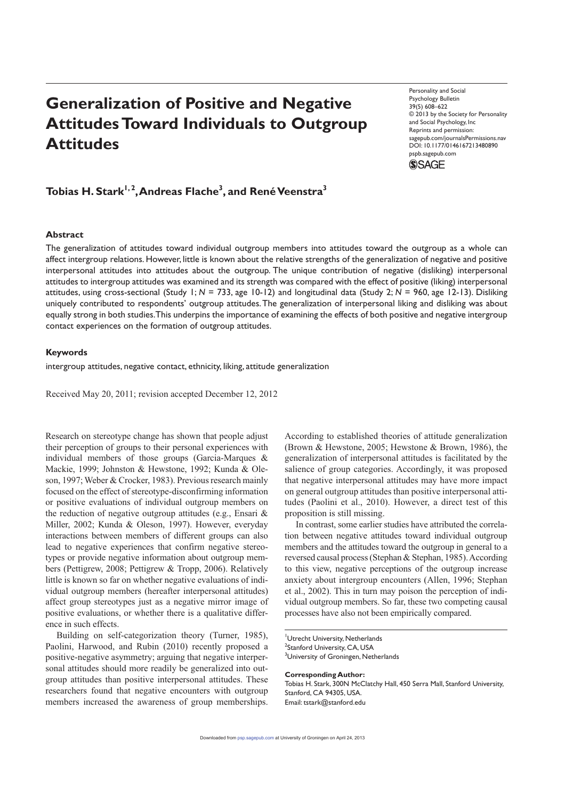# **Generalization of Positive and Negative Attitudes Toward Individuals to Outgroup Attitudes**

Personality and Social Psychology Bulletin 39(5) 608 –622 © 2013 by the Society for Personality and Social Psychology, Inc Reprints and permission: sagepub.com/journalsPermissions.nav DOI: 10.1177/0146167213480890 pspb.sagepub.com **SSAGE** 

**Tobias H. Stark1, 2, Andreas Flache<sup>3</sup> , and René Veenstra<sup>3</sup>**

## **Abstract**

The generalization of attitudes toward individual outgroup members into attitudes toward the outgroup as a whole can affect intergroup relations. However, little is known about the relative strengths of the generalization of negative and positive interpersonal attitudes into attitudes about the outgroup. The unique contribution of negative (disliking) interpersonal attitudes to intergroup attitudes was examined and its strength was compared with the effect of positive (liking) interpersonal attitudes, using cross-sectional (Study 1; *N* = 733, age 10-12) and longitudinal data (Study 2; *N* = 960, age 12-13). Disliking uniquely contributed to respondents' outgroup attitudes. The generalization of interpersonal liking and disliking was about equally strong in both studies. This underpins the importance of examining the effects of both positive and negative intergroup contact experiences on the formation of outgroup attitudes.

#### **Keywords**

intergroup attitudes, negative contact, ethnicity, liking, attitude generalization

Received May 20, 2011; revision accepted December 12, 2012

Research on stereotype change has shown that people adjust their perception of groups to their personal experiences with individual members of those groups (Garcia-Marques & Mackie, 1999; Johnston & Hewstone, 1992; Kunda & Oleson, 1997; Weber & Crocker, 1983). Previous research mainly focused on the effect of stereotype-disconfirming information or positive evaluations of individual outgroup members on the reduction of negative outgroup attitudes (e.g., Ensari & Miller, 2002; Kunda & Oleson, 1997). However, everyday interactions between members of different groups can also lead to negative experiences that confirm negative stereotypes or provide negative information about outgroup members (Pettigrew, 2008; Pettigrew & Tropp, 2006). Relatively little is known so far on whether negative evaluations of individual outgroup members (hereafter interpersonal attitudes) affect group stereotypes just as a negative mirror image of positive evaluations, or whether there is a qualitative difference in such effects.

Building on self-categorization theory (Turner, 1985), Paolini, Harwood, and Rubin (2010) recently proposed a positive-negative asymmetry; arguing that negative interpersonal attitudes should more readily be generalized into outgroup attitudes than positive interpersonal attitudes. These researchers found that negative encounters with outgroup members increased the awareness of group memberships. According to established theories of attitude generalization (Brown & Hewstone, 2005; Hewstone & Brown, 1986), the generalization of interpersonal attitudes is facilitated by the salience of group categories. Accordingly, it was proposed that negative interpersonal attitudes may have more impact on general outgroup attitudes than positive interpersonal attitudes (Paolini et al., 2010). However, a direct test of this proposition is still missing.

In contrast, some earlier studies have attributed the correlation between negative attitudes toward individual outgroup members and the attitudes toward the outgroup in general to a reversed causal process (Stephan & Stephan, 1985). According to this view, negative perceptions of the outgroup increase anxiety about intergroup encounters (Allen, 1996; Stephan et al., 2002). This in turn may poison the perception of individual outgroup members. So far, these two competing causal processes have also not been empirically compared.

#### **Corresponding Author:**

Tobias H. Stark, 300N McClatchy Hall, 450 Serra Mall, Stanford University, Stanford, CA 94305, USA. Email: tstark@stanford.edu

<sup>&</sup>lt;sup>1</sup>Utrecht University, Netherlands <sup>2</sup>Stanford University, CA, USA <sup>3</sup>University of Groningen, Netherlands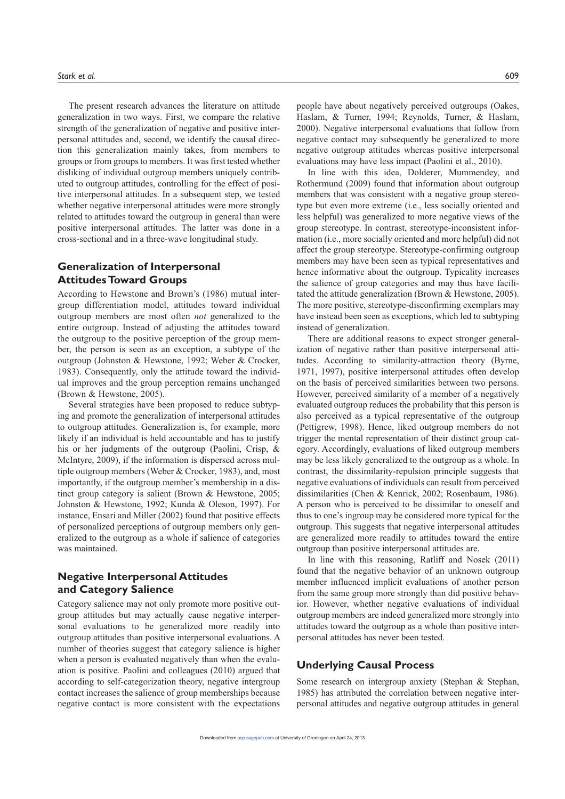The present research advances the literature on attitude generalization in two ways. First, we compare the relative strength of the generalization of negative and positive interpersonal attitudes and, second, we identify the causal direction this generalization mainly takes, from members to groups or from groups to members. It was first tested whether disliking of individual outgroup members uniquely contributed to outgroup attitudes, controlling for the effect of positive interpersonal attitudes. In a subsequent step, we tested whether negative interpersonal attitudes were more strongly related to attitudes toward the outgroup in general than were positive interpersonal attitudes. The latter was done in a cross-sectional and in a three-wave longitudinal study.

# **Generalization of Interpersonal Attitudes Toward Groups**

According to Hewstone and Brown's (1986) mutual intergroup differentiation model, attitudes toward individual outgroup members are most often *not* generalized to the entire outgroup. Instead of adjusting the attitudes toward the outgroup to the positive perception of the group member, the person is seen as an exception, a subtype of the outgroup (Johnston & Hewstone, 1992; Weber & Crocker, 1983). Consequently, only the attitude toward the individual improves and the group perception remains unchanged (Brown & Hewstone, 2005).

Several strategies have been proposed to reduce subtyping and promote the generalization of interpersonal attitudes to outgroup attitudes. Generalization is, for example, more likely if an individual is held accountable and has to justify his or her judgments of the outgroup (Paolini, Crisp, & McIntyre, 2009), if the information is dispersed across multiple outgroup members (Weber & Crocker, 1983), and, most importantly, if the outgroup member's membership in a distinct group category is salient (Brown & Hewstone, 2005; Johnston & Hewstone, 1992; Kunda & Oleson, 1997). For instance, Ensari and Miller (2002) found that positive effects of personalized perceptions of outgroup members only generalized to the outgroup as a whole if salience of categories was maintained.

# **Negative Interpersonal Attitudes and Category Salience**

Category salience may not only promote more positive outgroup attitudes but may actually cause negative interpersonal evaluations to be generalized more readily into outgroup attitudes than positive interpersonal evaluations. A number of theories suggest that category salience is higher when a person is evaluated negatively than when the evaluation is positive. Paolini and colleagues (2010) argued that according to self-categorization theory, negative intergroup contact increases the salience of group memberships because negative contact is more consistent with the expectations people have about negatively perceived outgroups (Oakes, Haslam, & Turner, 1994; Reynolds, Turner, & Haslam, 2000). Negative interpersonal evaluations that follow from negative contact may subsequently be generalized to more negative outgroup attitudes whereas positive interpersonal evaluations may have less impact (Paolini et al., 2010).

In line with this idea, Dolderer, Mummendey, and Rothermund (2009) found that information about outgroup members that was consistent with a negative group stereotype but even more extreme (i.e., less socially oriented and less helpful) was generalized to more negative views of the group stereotype. In contrast, stereotype-inconsistent information (i.e., more socially oriented and more helpful) did not affect the group stereotype. Stereotype-confirming outgroup members may have been seen as typical representatives and hence informative about the outgroup. Typicality increases the salience of group categories and may thus have facilitated the attitude generalization (Brown & Hewstone, 2005). The more positive, stereotype-disconfirming exemplars may have instead been seen as exceptions, which led to subtyping instead of generalization.

There are additional reasons to expect stronger generalization of negative rather than positive interpersonal attitudes. According to similarity-attraction theory (Byrne, 1971, 1997), positive interpersonal attitudes often develop on the basis of perceived similarities between two persons. However, perceived similarity of a member of a negatively evaluated outgroup reduces the probability that this person is also perceived as a typical representative of the outgroup (Pettigrew, 1998). Hence, liked outgroup members do not trigger the mental representation of their distinct group category. Accordingly, evaluations of liked outgroup members may be less likely generalized to the outgroup as a whole. In contrast, the dissimilarity-repulsion principle suggests that negative evaluations of individuals can result from perceived dissimilarities (Chen & Kenrick, 2002; Rosenbaum, 1986). A person who is perceived to be dissimilar to oneself and thus to one's ingroup may be considered more typical for the outgroup. This suggests that negative interpersonal attitudes are generalized more readily to attitudes toward the entire outgroup than positive interpersonal attitudes are.

In line with this reasoning, Ratliff and Nosek (2011) found that the negative behavior of an unknown outgroup member influenced implicit evaluations of another person from the same group more strongly than did positive behavior. However, whether negative evaluations of individual outgroup members are indeed generalized more strongly into attitudes toward the outgroup as a whole than positive interpersonal attitudes has never been tested.

# **Underlying Causal Process**

Some research on intergroup anxiety (Stephan & Stephan, 1985) has attributed the correlation between negative interpersonal attitudes and negative outgroup attitudes in general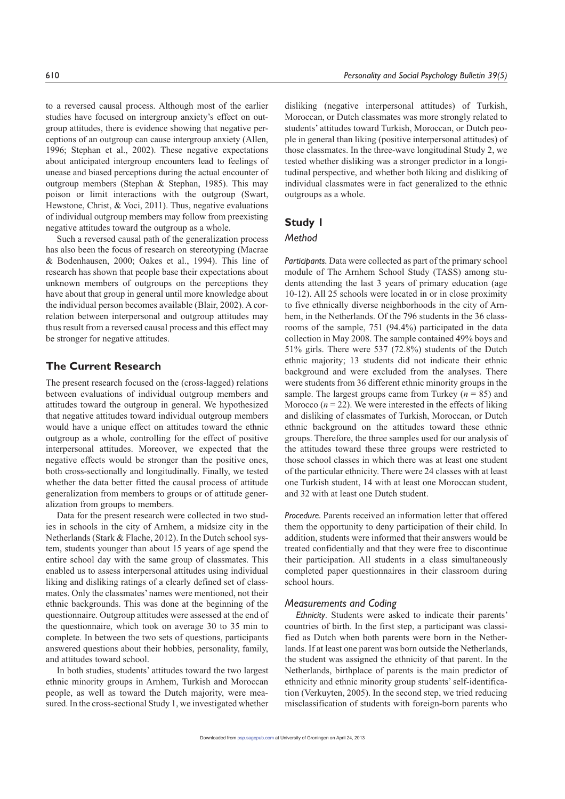to a reversed causal process. Although most of the earlier studies have focused on intergroup anxiety's effect on outgroup attitudes, there is evidence showing that negative perceptions of an outgroup can cause intergroup anxiety (Allen, 1996; Stephan et al., 2002). These negative expectations about anticipated intergroup encounters lead to feelings of unease and biased perceptions during the actual encounter of outgroup members (Stephan & Stephan, 1985). This may poison or limit interactions with the outgroup (Swart, Hewstone, Christ, & Voci, 2011). Thus, negative evaluations of individual outgroup members may follow from preexisting negative attitudes toward the outgroup as a whole.

Such a reversed causal path of the generalization process has also been the focus of research on stereotyping (Macrae & Bodenhausen, 2000; Oakes et al., 1994). This line of research has shown that people base their expectations about unknown members of outgroups on the perceptions they have about that group in general until more knowledge about the individual person becomes available (Blair, 2002). A correlation between interpersonal and outgroup attitudes may thus result from a reversed causal process and this effect may be stronger for negative attitudes.

## **The Current Research**

The present research focused on the (cross-lagged) relations between evaluations of individual outgroup members and attitudes toward the outgroup in general. We hypothesized that negative attitudes toward individual outgroup members would have a unique effect on attitudes toward the ethnic outgroup as a whole, controlling for the effect of positive interpersonal attitudes. Moreover, we expected that the negative effects would be stronger than the positive ones, both cross-sectionally and longitudinally. Finally, we tested whether the data better fitted the causal process of attitude generalization from members to groups or of attitude generalization from groups to members.

Data for the present research were collected in two studies in schools in the city of Arnhem, a midsize city in the Netherlands (Stark & Flache, 2012). In the Dutch school system, students younger than about 15 years of age spend the entire school day with the same group of classmates. This enabled us to assess interpersonal attitudes using individual liking and disliking ratings of a clearly defined set of classmates. Only the classmates' names were mentioned, not their ethnic backgrounds. This was done at the beginning of the questionnaire. Outgroup attitudes were assessed at the end of the questionnaire, which took on average 30 to 35 min to complete. In between the two sets of questions, participants answered questions about their hobbies, personality, family, and attitudes toward school.

In both studies, students' attitudes toward the two largest ethnic minority groups in Arnhem, Turkish and Moroccan people, as well as toward the Dutch majority, were measured. In the cross-sectional Study 1, we investigated whether

disliking (negative interpersonal attitudes) of Turkish, Moroccan, or Dutch classmates was more strongly related to students' attitudes toward Turkish, Moroccan, or Dutch people in general than liking (positive interpersonal attitudes) of those classmates. In the three-wave longitudinal Study 2, we tested whether disliking was a stronger predictor in a longitudinal perspective, and whether both liking and disliking of individual classmates were in fact generalized to the ethnic outgroups as a whole.

# **Study 1**

# *Method*

*Participants.* Data were collected as part of the primary school module of The Arnhem School Study (TASS) among students attending the last 3 years of primary education (age 10-12). All 25 schools were located in or in close proximity to five ethnically diverse neighborhoods in the city of Arnhem, in the Netherlands. Of the 796 students in the 36 classrooms of the sample, 751 (94.4%) participated in the data collection in May 2008. The sample contained 49% boys and 51% girls. There were 537 (72.8%) students of the Dutch ethnic majority; 13 students did not indicate their ethnic background and were excluded from the analyses. There were students from 36 different ethnic minority groups in the sample. The largest groups came from Turkey  $(n = 85)$  and Morocco  $(n = 22)$ . We were interested in the effects of liking and disliking of classmates of Turkish, Moroccan, or Dutch ethnic background on the attitudes toward these ethnic groups. Therefore, the three samples used for our analysis of the attitudes toward these three groups were restricted to those school classes in which there was at least one student of the particular ethnicity. There were 24 classes with at least one Turkish student, 14 with at least one Moroccan student, and 32 with at least one Dutch student.

*Procedure.* Parents received an information letter that offered them the opportunity to deny participation of their child. In addition, students were informed that their answers would be treated confidentially and that they were free to discontinue their participation. All students in a class simultaneously completed paper questionnaires in their classroom during school hours.

#### *Measurements and Coding*

*Ethnicity*. Students were asked to indicate their parents' countries of birth. In the first step, a participant was classified as Dutch when both parents were born in the Netherlands. If at least one parent was born outside the Netherlands, the student was assigned the ethnicity of that parent. In the Netherlands, birthplace of parents is the main predictor of ethnicity and ethnic minority group students' self-identification (Verkuyten, 2005). In the second step, we tried reducing misclassification of students with foreign-born parents who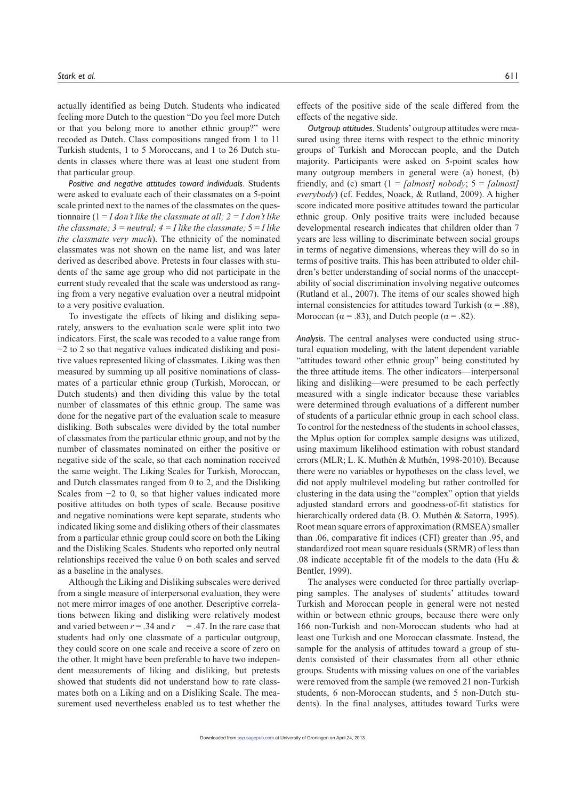actually identified as being Dutch. Students who indicated feeling more Dutch to the question "Do you feel more Dutch or that you belong more to another ethnic group?" were recoded as Dutch. Class compositions ranged from 1 to 11 Turkish students, 1 to 5 Moroccans, and 1 to 26 Dutch students in classes where there was at least one student from that particular group.

*Positive and negative attitudes toward individuals*. Students were asked to evaluate each of their classmates on a 5-point scale printed next to the names of the classmates on the questionnaire (1 = *I don't like the classmate at all; 2 = I don't like the classmate;*  $3 =$  *neutral;*  $4 =$  *I like the classmate;*  $5 =$  *I like the classmate very much*). The ethnicity of the nominated classmates was not shown on the name list, and was later derived as described above. Pretests in four classes with students of the same age group who did not participate in the current study revealed that the scale was understood as ranging from a very negative evaluation over a neutral midpoint to a very positive evaluation.

To investigate the effects of liking and disliking separately, answers to the evaluation scale were split into two indicators. First, the scale was recoded to a value range from −2 to 2 so that negative values indicated disliking and positive values represented liking of classmates. Liking was then measured by summing up all positive nominations of classmates of a particular ethnic group (Turkish, Moroccan, or Dutch students) and then dividing this value by the total number of classmates of this ethnic group. The same was done for the negative part of the evaluation scale to measure disliking. Both subscales were divided by the total number of classmates from the particular ethnic group, and not by the number of classmates nominated on either the positive or negative side of the scale, so that each nomination received the same weight. The Liking Scales for Turkish, Moroccan, and Dutch classmates ranged from 0 to 2, and the Disliking Scales from  $-2$  to 0, so that higher values indicated more positive attitudes on both types of scale. Because positive and negative nominations were kept separate, students who indicated liking some and disliking others of their classmates from a particular ethnic group could score on both the Liking and the Disliking Scales. Students who reported only neutral relationships received the value 0 on both scales and served as a baseline in the analyses.

Although the Liking and Disliking subscales were derived from a single measure of interpersonal evaluation, they were not mere mirror images of one another. Descriptive correlations between liking and disliking were relatively modest and varied between  $r = .34$  and  $r = .47$ . In the rare case that students had only one classmate of a particular outgroup, they could score on one scale and receive a score of zero on the other. It might have been preferable to have two independent measurements of liking and disliking, but pretests showed that students did not understand how to rate classmates both on a Liking and on a Disliking Scale. The measurement used nevertheless enabled us to test whether the effects of the positive side of the scale differed from the effects of the negative side.

*Outgroup attitudes*. Students' outgroup attitudes were measured using three items with respect to the ethnic minority groups of Turkish and Moroccan people, and the Dutch majority. Participants were asked on 5-point scales how many outgroup members in general were (a) honest, (b) friendly, and (c) smart  $(1 = \text{falmost} / \text{nobody}; 5 = \text{falmost}$ *everybody*) (cf. Feddes, Noack, & Rutland, 2009). A higher score indicated more positive attitudes toward the particular ethnic group. Only positive traits were included because developmental research indicates that children older than 7 years are less willing to discriminate between social groups in terms of negative dimensions, whereas they will do so in terms of positive traits. This has been attributed to older children's better understanding of social norms of the unacceptability of social discrimination involving negative outcomes (Rutland et al., 2007). The items of our scales showed high internal consistencies for attitudes toward Turkish ( $\alpha$  = .88), Moroccan ( $\alpha$  = .83), and Dutch people ( $\alpha$  = .82).

*Analysis.* The central analyses were conducted using structural equation modeling, with the latent dependent variable "attitudes toward other ethnic group" being constituted by the three attitude items. The other indicators—interpersonal liking and disliking—were presumed to be each perfectly measured with a single indicator because these variables were determined through evaluations of a different number of students of a particular ethnic group in each school class. To control for the nestedness of the students in school classes, the Mplus option for complex sample designs was utilized, using maximum likelihood estimation with robust standard errors (MLR; L. K. Muthén & Muthén, 1998-2010). Because there were no variables or hypotheses on the class level, we did not apply multilevel modeling but rather controlled for clustering in the data using the "complex" option that yields adjusted standard errors and goodness-of-fit statistics for hierarchically ordered data (B. O. Muthén & Satorra, 1995). Root mean square errors of approximation (RMSEA) smaller than .06, comparative fit indices (CFI) greater than .95, and standardized root mean square residuals (SRMR) of less than .08 indicate acceptable fit of the models to the data (Hu & Bentler, 1999).

The analyses were conducted for three partially overlapping samples. The analyses of students' attitudes toward Turkish and Moroccan people in general were not nested within or between ethnic groups, because there were only 166 non-Turkish and non-Moroccan students who had at least one Turkish and one Moroccan classmate. Instead, the sample for the analysis of attitudes toward a group of students consisted of their classmates from all other ethnic groups. Students with missing values on one of the variables were removed from the sample (we removed 21 non-Turkish students, 6 non-Moroccan students, and 5 non-Dutch students). In the final analyses, attitudes toward Turks were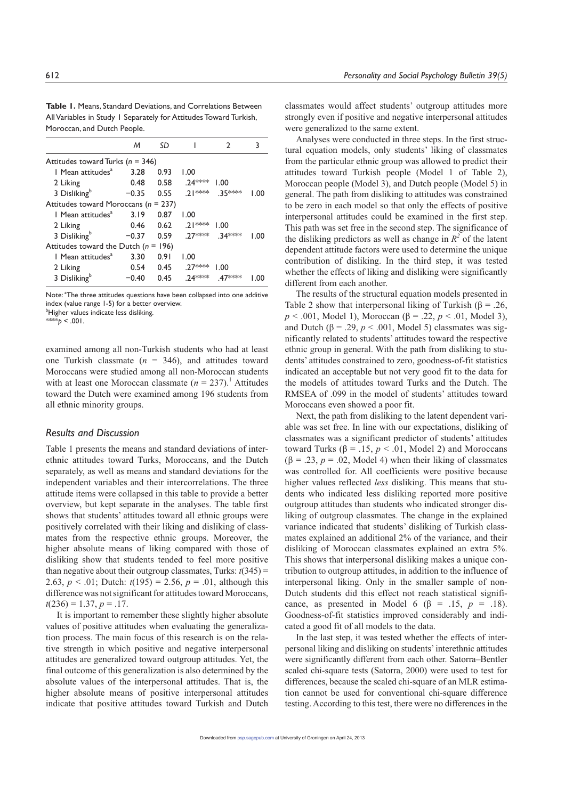**Table 1.** Means, Standard Deviations, and Correlations Between All Variables in Study 1 Separately for Attitudes Toward Turkish, Moroccan, and Dutch People.

|                                          | м       | SD   |           | 2             | 3    |
|------------------------------------------|---------|------|-----------|---------------|------|
| Attitudes toward Turks ( $n = 346$ )     |         |      |           |               |      |
| 1 Mean attitudes <sup>a</sup>            | 3.28    | 0.93 | 1.00      |               |      |
| 2 Liking                                 | 0.48    | 0.58 | 24****    | 1.00          |      |
| 3 Disliking <sup>b</sup>                 | $-0.35$ | 0.55 |           | 21 *** 35 *** | 1.00 |
| Attitudes toward Moroccans ( $n = 237$ ) |         |      |           |               |      |
| I Mean attitudes <sup>a</sup>            | 3.19    | 0.87 | 1.00      |               |      |
| 2 Liking                                 | 0.46    | 0.62 | .2   **** | 1.00          |      |
| 3 Disliking <sup>b</sup>                 | $-0.37$ | 0.59 |           | 77**** 34**** | 1.00 |
| Attitudes toward the Dutch ( $n = 196$ ) |         |      |           |               |      |
| 1 Mean attitudes <sup>a</sup>            | 3.30    | 0.91 | 1.00      |               |      |
| 2 Liking                                 | 0.54    | 0.45 | .27****   | 1.00          |      |
| 3 Disliking <sup>b</sup>                 | $-0.40$ | 0.45 | 74 ***    | 47****        | .00  |

Note: <sup>a</sup>The three attitudes questions have been collapsed into one additive index (value range 1-5) for a better overview.

<sup>b</sup>Higher values indicate less disliking.

\*\*\*\**p* < .001.

examined among all non-Turkish students who had at least one Turkish classmate  $(n = 346)$ , and attitudes toward Moroccans were studied among all non-Moroccan students with at least one Moroccan classmate  $(n = 237)$ .<sup>1</sup> Attitudes toward the Dutch were examined among 196 students from all ethnic minority groups.

## *Results and Discussion*

Table 1 presents the means and standard deviations of interethnic attitudes toward Turks, Moroccans, and the Dutch separately, as well as means and standard deviations for the independent variables and their intercorrelations. The three attitude items were collapsed in this table to provide a better overview, but kept separate in the analyses. The table first shows that students' attitudes toward all ethnic groups were positively correlated with their liking and disliking of classmates from the respective ethnic groups. Moreover, the higher absolute means of liking compared with those of disliking show that students tended to feel more positive than negative about their outgroup classmates, Turks:  $t(345)$  = 2.63,  $p < .01$ ; Dutch:  $t(195) = 2.56$ ,  $p = .01$ , although this difference was not significant for attitudes toward Moroccans,  $t(236) = 1.37, p = .17.$ 

It is important to remember these slightly higher absolute values of positive attitudes when evaluating the generalization process. The main focus of this research is on the relative strength in which positive and negative interpersonal attitudes are generalized toward outgroup attitudes. Yet, the final outcome of this generalization is also determined by the absolute values of the interpersonal attitudes. That is, the higher absolute means of positive interpersonal attitudes indicate that positive attitudes toward Turkish and Dutch

classmates would affect students' outgroup attitudes more strongly even if positive and negative interpersonal attitudes were generalized to the same extent.

Analyses were conducted in three steps. In the first structural equation models, only students' liking of classmates from the particular ethnic group was allowed to predict their attitudes toward Turkish people (Model 1 of Table 2), Moroccan people (Model 3), and Dutch people (Model 5) in general. The path from disliking to attitudes was constrained to be zero in each model so that only the effects of positive interpersonal attitudes could be examined in the first step. This path was set free in the second step. The significance of the disliking predictors as well as change in  $R^2$  of the latent dependent attitude factors were used to determine the unique contribution of disliking. In the third step, it was tested whether the effects of liking and disliking were significantly different from each another.

The results of the structural equation models presented in Table 2 show that interpersonal liking of Turkish ( $\beta$  = .26, *p* < .001, Model 1), Moroccan (β = .22, *p* < .01, Model 3), and Dutch ( $\beta$  = .29,  $p$  < .001, Model 5) classmates was significantly related to students' attitudes toward the respective ethnic group in general. With the path from disliking to students' attitudes constrained to zero, goodness-of-fit statistics indicated an acceptable but not very good fit to the data for the models of attitudes toward Turks and the Dutch. The RMSEA of .099 in the model of students' attitudes toward Moroccans even showed a poor fit.

Next, the path from disliking to the latent dependent variable was set free. In line with our expectations, disliking of classmates was a significant predictor of students' attitudes toward Turks ( $β = .15, p < .01$ , Model 2) and Moroccans  $(\beta = .23, p = .02, \text{ Model } 4)$  when their liking of classmates was controlled for. All coefficients were positive because higher values reflected *less* disliking. This means that students who indicated less disliking reported more positive outgroup attitudes than students who indicated stronger disliking of outgroup classmates. The change in the explained variance indicated that students' disliking of Turkish classmates explained an additional 2% of the variance, and their disliking of Moroccan classmates explained an extra 5%. This shows that interpersonal disliking makes a unique contribution to outgroup attitudes, in addition to the influence of interpersonal liking. Only in the smaller sample of non-Dutch students did this effect not reach statistical significance, as presented in Model 6 ( $\beta$  = .15,  $p$  = .18). Goodness-of-fit statistics improved considerably and indicated a good fit of all models to the data.

In the last step, it was tested whether the effects of interpersonal liking and disliking on students' interethnic attitudes were significantly different from each other. Satorra–Bentler scaled chi-square tests (Satorra, 2000) were used to test for differences, because the scaled chi-square of an MLR estimation cannot be used for conventional chi-square difference testing. According to this test, there were no differences in the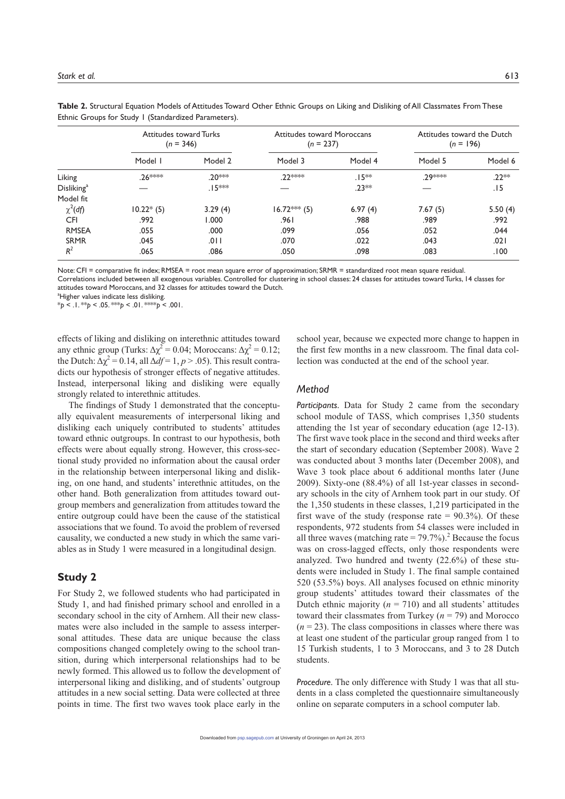|                               | <b>Attitudes toward Turks</b><br>$(n = 346)$ |          | Attitudes toward Moroccans<br>$(n = 237)$ |         | Attitudes toward the Dutch<br>$(n = 196)$ |         |  |
|-------------------------------|----------------------------------------------|----------|-------------------------------------------|---------|-------------------------------------------|---------|--|
|                               | Model I                                      | Model 2  | Model 3                                   | Model 4 | Model 5                                   | Model 6 |  |
| Liking                        | $.26***$                                     | 20***    | 22 ***                                    | $.15**$ | 29 ***                                    | $.22**$ |  |
| <b>Disliking</b> <sup>a</sup> |                                              | $.15***$ |                                           | $.23**$ |                                           | .15     |  |
| Model fit                     |                                              |          |                                           |         |                                           |         |  |
| $\chi^2$ (df)                 | $10.22*(5)$                                  | 3.29(4)  | $16.72***(5)$                             | 6.97(4) | 7.67(5)                                   | 5.50(4) |  |
| <b>CFI</b>                    | .992                                         | 000.1    | .961                                      | .988    | .989                                      | .992    |  |
| <b>RMSEA</b>                  | .055                                         | .000     | .099                                      | .056    | .052                                      | .044    |  |
| <b>SRMR</b>                   | .045                                         | .011     | .070                                      | .022    | .043                                      | .021    |  |
| $R^2$                         | .065                                         | .086     | .050                                      | .098    | .083                                      | .100    |  |

**Table 2.** Structural Equation Models of Attitudes Toward Other Ethnic Groups on Liking and Disliking of All Classmates From These Ethnic Groups for Study 1 (Standardized Parameters).

Note: CFI = comparative fit index; RMSEA = root mean square error of approximation; SRMR = standardized root mean square residual.

Correlations included between all exogenous variables. Controlled for clustering in school classes: 24 classes for attitudes toward Turks, 14 classes for attitudes toward Moroccans, and 32 classes for attitudes toward the Dutch.

<sup>a</sup>Higher values indicate less disliking.

\**p* < .1. \*\**p* < .05. \*\*\**p* < .01. \*\*\*\**p* < .001.

effects of liking and disliking on interethnic attitudes toward any ethnic group (Turks:  $\Delta \chi^2 = 0.04$ ; Moroccans:  $\Delta \chi^2 = 0.12$ ; the Dutch:  $\Delta \chi^2 = 0.14$ , all  $\Delta df = 1$ ,  $p > .05$ ). This result contradicts our hypothesis of stronger effects of negative attitudes. Instead, interpersonal liking and disliking were equally strongly related to interethnic attitudes.

The findings of Study 1 demonstrated that the conceptually equivalent measurements of interpersonal liking and disliking each uniquely contributed to students' attitudes toward ethnic outgroups. In contrast to our hypothesis, both effects were about equally strong. However, this cross-sectional study provided no information about the causal order in the relationship between interpersonal liking and disliking, on one hand, and students' interethnic attitudes, on the other hand. Both generalization from attitudes toward outgroup members and generalization from attitudes toward the entire outgroup could have been the cause of the statistical associations that we found. To avoid the problem of reversed causality, we conducted a new study in which the same variables as in Study 1 were measured in a longitudinal design.

## **Study 2**

For Study 2, we followed students who had participated in Study 1, and had finished primary school and enrolled in a secondary school in the city of Arnhem. All their new classmates were also included in the sample to assess interpersonal attitudes. These data are unique because the class compositions changed completely owing to the school transition, during which interpersonal relationships had to be newly formed. This allowed us to follow the development of interpersonal liking and disliking, and of students' outgroup attitudes in a new social setting. Data were collected at three points in time. The first two waves took place early in the

school year, because we expected more change to happen in the first few months in a new classroom. The final data collection was conducted at the end of the school year.

# *Method*

*Participants.* Data for Study 2 came from the secondary school module of TASS, which comprises 1,350 students attending the 1st year of secondary education (age 12-13). The first wave took place in the second and third weeks after the start of secondary education (September 2008). Wave 2 was conducted about 3 months later (December 2008), and Wave 3 took place about 6 additional months later (June 2009). Sixty-one (88.4%) of all 1st-year classes in secondary schools in the city of Arnhem took part in our study. Of the 1,350 students in these classes, 1,219 participated in the first wave of the study (response rate  $= 90.3\%$ ). Of these respondents, 972 students from 54 classes were included in all three waves (matching rate  $= 79.7\%$ ).<sup>2</sup> Because the focus was on cross-lagged effects, only those respondents were analyzed. Two hundred and twenty (22.6%) of these students were included in Study 1. The final sample contained 520 (53.5%) boys. All analyses focused on ethnic minority group students' attitudes toward their classmates of the Dutch ethnic majority ( $n = 710$ ) and all students' attitudes toward their classmates from Turkey (*n* = 79) and Morocco  $(n = 23)$ . The class compositions in classes where there was at least one student of the particular group ranged from 1 to 15 Turkish students, 1 to 3 Moroccans, and 3 to 28 Dutch students.

*Procedure.* The only difference with Study 1 was that all students in a class completed the questionnaire simultaneously online on separate computers in a school computer lab.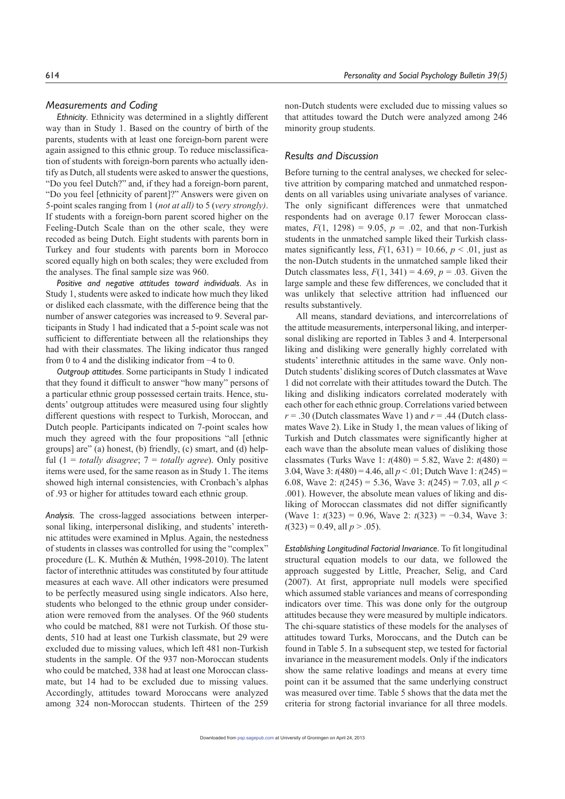## *Measurements and Coding*

*Ethnicity*. Ethnicity was determined in a slightly different way than in Study 1. Based on the country of birth of the parents, students with at least one foreign-born parent were again assigned to this ethnic group. To reduce misclassification of students with foreign-born parents who actually identify as Dutch, all students were asked to answer the questions, "Do you feel Dutch?" and, if they had a foreign-born parent, "Do you feel [ethnicity of parent]?" Answers were given on 5-point scales ranging from 1 (*not at all)* to 5 (*very strongly)*. If students with a foreign-born parent scored higher on the Feeling-Dutch Scale than on the other scale, they were recoded as being Dutch. Eight students with parents born in Turkey and four students with parents born in Morocco scored equally high on both scales; they were excluded from the analyses. The final sample size was 960.

*Positive and negative attitudes toward individuals*. As in Study 1, students were asked to indicate how much they liked or disliked each classmate, with the difference being that the number of answer categories was increased to 9. Several participants in Study 1 had indicated that a 5-point scale was not sufficient to differentiate between all the relationships they had with their classmates. The liking indicator thus ranged from 0 to 4 and the disliking indicator from −4 to 0.

*Outgroup attitudes*. Some participants in Study 1 indicated that they found it difficult to answer "how many" persons of a particular ethnic group possessed certain traits. Hence, students' outgroup attitudes were measured using four slightly different questions with respect to Turkish, Moroccan, and Dutch people. Participants indicated on 7-point scales how much they agreed with the four propositions "all [ethnic groups] are" (a) honest, (b) friendly, (c) smart, and (d) helpful (1 = *totally disagree*; 7 = *totally agree*). Only positive items were used, for the same reason as in Study 1. The items showed high internal consistencies, with Cronbach's alphas of .93 or higher for attitudes toward each ethnic group.

*Analysis.* The cross-lagged associations between interpersonal liking, interpersonal disliking, and students' interethnic attitudes were examined in Mplus. Again, the nestedness of students in classes was controlled for using the "complex" procedure (L. K. Muthén & Muthén, 1998-2010). The latent factor of interethnic attitudes was constituted by four attitude measures at each wave. All other indicators were presumed to be perfectly measured using single indicators. Also here, students who belonged to the ethnic group under consideration were removed from the analyses. Of the 960 students who could be matched, 881 were not Turkish. Of those students, 510 had at least one Turkish classmate, but 29 were excluded due to missing values, which left 481 non-Turkish students in the sample. Of the 937 non-Moroccan students who could be matched, 338 had at least one Moroccan classmate, but 14 had to be excluded due to missing values. Accordingly, attitudes toward Moroccans were analyzed among 324 non-Moroccan students. Thirteen of the 259

non-Dutch students were excluded due to missing values so that attitudes toward the Dutch were analyzed among 246 minority group students.

## *Results and Discussion*

Before turning to the central analyses, we checked for selective attrition by comparing matched and unmatched respondents on all variables using univariate analyses of variance. The only significant differences were that unmatched respondents had on average 0.17 fewer Moroccan classmates,  $F(1, 1298) = 9.05$ ,  $p = .02$ , and that non-Turkish students in the unmatched sample liked their Turkish classmates significantly less,  $F(1, 631) = 10.66$ ,  $p < .01$ , just as the non-Dutch students in the unmatched sample liked their Dutch classmates less,  $F(1, 341) = 4.69$ ,  $p = .03$ . Given the large sample and these few differences, we concluded that it was unlikely that selective attrition had influenced our results substantively.

All means, standard deviations, and intercorrelations of the attitude measurements, interpersonal liking, and interpersonal disliking are reported in Tables 3 and 4. Interpersonal liking and disliking were generally highly correlated with students' interethnic attitudes in the same wave. Only non-Dutch students' disliking scores of Dutch classmates at Wave 1 did not correlate with their attitudes toward the Dutch. The liking and disliking indicators correlated moderately with each other for each ethnic group. Correlations varied between  $r = .30$  (Dutch classmates Wave 1) and  $r = .44$  (Dutch classmates Wave 2). Like in Study 1, the mean values of liking of Turkish and Dutch classmates were significantly higher at each wave than the absolute mean values of disliking those classmates (Turks Wave 1: *t*(480) = 5.82, Wave 2: *t*(480) = 3.04, Wave 3: *t*(480) = 4.46, all *p* < .01; Dutch Wave 1: *t*(245) = 6.08, Wave 2: *t*(245) = 5.36, Wave 3: *t*(245) = 7.03, all *p* < .001). However, the absolute mean values of liking and disliking of Moroccan classmates did not differ significantly (Wave 1: *t*(323) = 0.96, Wave 2: *t*(323) = −0.34, Wave 3:  $t(323) = 0.49$ , all  $p > .05$ ).

*Establishing Longitudinal Factorial Invariance.* To fit longitudinal structural equation models to our data, we followed the approach suggested by Little, Preacher, Selig, and Card (2007). At first, appropriate null models were specified which assumed stable variances and means of corresponding indicators over time. This was done only for the outgroup attitudes because they were measured by multiple indicators. The chi-square statistics of these models for the analyses of attitudes toward Turks, Moroccans, and the Dutch can be found in Table 5. In a subsequent step, we tested for factorial invariance in the measurement models. Only if the indicators show the same relative loadings and means at every time point can it be assumed that the same underlying construct was measured over time. Table 5 shows that the data met the criteria for strong factorial invariance for all three models.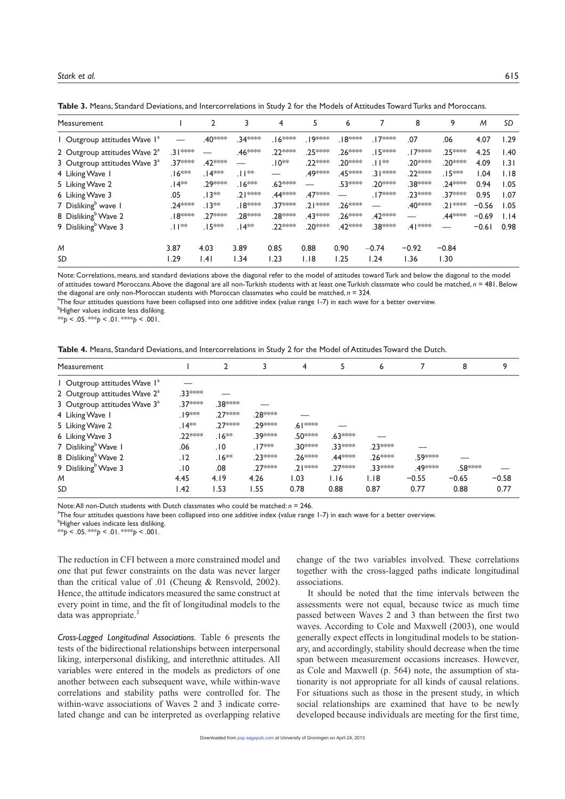| Measurement                              |                     | 2        | 3                   | 4        | 5         | 6                   |            | 8        | 9        | M       | SD   |
|------------------------------------------|---------------------|----------|---------------------|----------|-----------|---------------------|------------|----------|----------|---------|------|
| Outgroup attitudes Wave   <sup>a</sup>   |                     | .40 **** | .34****             | $.16***$ | .   9**** | .18 <sup>≭</sup> ** | $.17***$   | .07      | .06      | 4.07    | 1.29 |
| 2 Outgroup attitudes Wave 2 <sup>a</sup> | $.31***$            |          | .46 ****            | .22 ***  | .25 ***   | .26 ***             | $.15***$   | $.17***$ | .25 ***  | 4.25    | 1.40 |
| 3 Outgroup attitudes Wave 3 <sup>ª</sup> | $.37***$            | .42 ***  |                     | $.10**$  | .22 ***   | $.20***$            | $ 1 ^{**}$ | 20****   | 20****   | 4.09    | 1.31 |
| 4 Liking Wave I                          | $.16***$            | $.14***$ | $.  ^*$             |          | .49 ***   | .45****             | $.31***$   | .22 ***  | . I 5 ** | 1.04    | 1.18 |
| 5 Liking Wave 2                          | $.14**$             | .29 ***  | $.16***$            | $.62***$ |           | .53 ***             | .20****    | .38 ***  | 24****   | 0.94    | 1.05 |
| 6 Liking Wave 3                          | .05                 | $.13**$  | .21 ***             | .44 **** | 47****    |                     | $.17***$   | .23 ***  | 37****   | 0.95    | 1.07 |
| 7 Disliking <sup>b</sup> wave I          | .24 ***             | $13**$   | .18 <sup>****</sup> | 37****   | $.21***$  | .26 ***             |            | .40****  | $21***$  | $-0.56$ | 1.05 |
| 8 Disliking <sup>b</sup> Wave 2          | .18 <sup>****</sup> | .27 ***  | .28 ***             | .28 ***  | 43****    | .26 ***             | .42 ***    |          | .44 ***  | $-0.69$ | 1.14 |
| 9 Disliking <sup>b</sup> Wave 3          | $ 1 ^{**}$          | .15***   | $.14**$             | 22****   | 20****    | .42 ***             | .38 ***    | $.41***$ |          | $-0.61$ | 0.98 |
| M                                        | 3.87                | 4.03     | 3.89                | 0.85     | 0.88      | 0.90                | $-0.74$    | $-0.92$  | $-0.84$  |         |      |
| SD                                       | l.29                | .4       | 1.34                | 1.23     | 1.18      | 1.25                | 1.24       | .36      | 1.30     |         |      |

**Table 3.** Means, Standard Deviations, and Intercorrelations in Study 2 for the Models of Attitudes Toward Turks and Moroccans.

Note: Correlations, means, and standard deviations above the diagonal refer to the model of attitudes toward Turk and below the diagonal to the model of attitudes toward Moroccans. Above the diagonal are all non-Turkish students with at least one Turkish classmate who could be matched, *n* = 481. Below the diagonal are only non-Moroccan students with Moroccan classmates who could be matched, *n* = 324.

<sup>a</sup>The four attitudes questions have been collapsed into one additive index (value range 1-7) in each wave for a better overview.

**bHigher values indicate less disliking.** 

\*\**p* < .05. \*\*\**p* < .01. \*\*\*\**p* < .001.

| Measurement                              |                     |         |          | 4                  | 5        | 6        |         | 8                   | 9       |
|------------------------------------------|---------------------|---------|----------|--------------------|----------|----------|---------|---------------------|---------|
| Outgroup attitudes Wave   <sup>a</sup>   |                     |         |          |                    |          |          |         |                     |         |
| 2 Outgroup attitudes Wave 2 <sup>ª</sup> | .33 ***             |         |          |                    |          |          |         |                     |         |
| 3 Outgroup attitudes Wave 3 <sup>ª</sup> | .37 <sup>****</sup> | .38**** |          |                    |          |          |         |                     |         |
| 4 Liking Wave I                          | .19***              | .27**** | .28 ***  |                    |          |          |         |                     |         |
| 5 Liking Wave 2                          | $.14**$             | $27***$ | 29****   | $.61***$           |          |          |         |                     |         |
| 6 Liking Wave 3                          | .22 ***             | $.16**$ | 39****   | .50****            | $.63***$ |          |         |                     |         |
| 7 Disliking <sup>b</sup> Wave 1          | .06                 | ١٥.     | .⊺7***   | $30***$            | $.33***$ | 23 ***   |         |                     |         |
| 8 Disliking <sup>o</sup> Wave 2          | .12                 | $.16**$ | .23 ***  | 26 <sup>****</sup> | 44****   | $26***$  | .59**** |                     |         |
| 9 Disliking <sup>b</sup> Wave 3          | .10                 | .08     | $.27***$ | $21***$            | 27****   | $.33***$ | 49****  | .58 <sup>****</sup> |         |
| M                                        | 4.45                | 4.19    | 4.26     | 1.03               | 1.16     | 1.18     | $-0.55$ | $-0.65$             | $-0.58$ |
| SD                                       | l.42                | l.53    | .55      | 0.78               | 0.88     | 0.87     | 0.77    | 0.88                | 0.77    |

Note: All non-Dutch students with Dutch classmates who could be matched: *n* = 246.

 $^{\circ}$ The four attitudes questions have been collapsed into one additive index (value range 1-7) in each wave for a better overview.

**bHigher values indicate less disliking.** 

\*\**p* < .05. \*\*\**p* < .01. \*\*\*\**p* < .001.

The reduction in CFI between a more constrained model and one that put fewer constraints on the data was never larger than the critical value of .01 (Cheung & Rensvold, 2002). Hence, the attitude indicators measured the same construct at every point in time, and the fit of longitudinal models to the data was appropriate.<sup>3</sup>

*Cross-Lagged Longitudinal Associations.* Table 6 presents the tests of the bidirectional relationships between interpersonal liking, interpersonal disliking, and interethnic attitudes. All variables were entered in the models as predictors of one another between each subsequent wave, while within-wave correlations and stability paths were controlled for. The within-wave associations of Waves 2 and 3 indicate correlated change and can be interpreted as overlapping relative change of the two variables involved. These correlations together with the cross-lagged paths indicate longitudinal associations.

It should be noted that the time intervals between the assessments were not equal, because twice as much time passed between Waves 2 and 3 than between the first two waves. According to Cole and Maxwell (2003), one would generally expect effects in longitudinal models to be stationary, and accordingly, stability should decrease when the time span between measurement occasions increases. However, as Cole and Maxwell (p. 564) note, the assumption of stationarity is not appropriate for all kinds of causal relations. For situations such as those in the present study, in which social relationships are examined that have to be newly developed because individuals are meeting for the first time,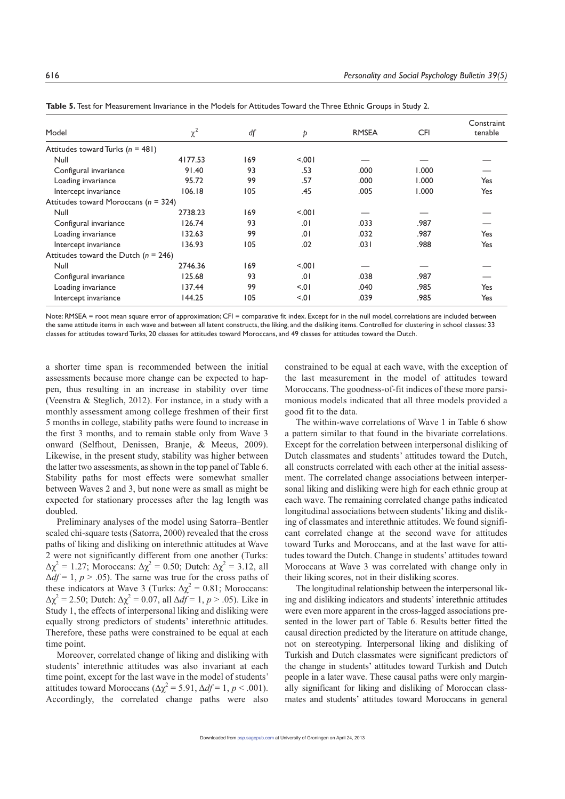| Model                                    | $\chi^2$ | df  | Þ       | <b>RMSEA</b> | <b>CFI</b> | Constraint<br>tenable |
|------------------------------------------|----------|-----|---------|--------------|------------|-----------------------|
| Attitudes toward Turks ( $n = 481$ )     |          |     |         |              |            |                       |
| Null                                     | 4177.53  | 169 | < .001  |              |            |                       |
| Configural invariance                    | 91.40    | 93  | .53     | .000         | 1.000      |                       |
| Loading invariance                       | 95.72    | 99  | .57     | .000         | 1.000      | Yes                   |
| Intercept invariance                     | 106.18   | 105 | .45     | .005         | 1.000      | Yes                   |
| Attitudes toward Moroccans ( $n = 324$ ) |          |     |         |              |            |                       |
| Null                                     | 2738.23  | 169 | < 0.001 |              |            |                       |
| Configural invariance                    | 126.74   | 93  | .01     | .033         | .987       |                       |
| Loading invariance                       | 132.63   | 99  | .01     | .032         | .987       | Yes                   |
| Intercept invariance                     | 136.93   | 105 | .02     | .031         | .988       | Yes                   |
| Attitudes toward the Dutch ( $n = 246$ ) |          |     |         |              |            |                       |
| Null                                     | 2746.36  | 169 | < 0.01  |              |            |                       |
| Configural invariance                    | 125.68   | 93  | .01     | .038         | .987       |                       |
| Loading invariance                       | 137.44   | 99  | 5.01    | .040         | .985       | Yes                   |
| Intercept invariance                     | 144.25   | 105 | 5.01    | .039         | .985       | Yes                   |

**Table 5.** Test for Measurement Invariance in the Models for Attitudes Toward the Three Ethnic Groups in Study 2.

Note: RMSEA = root mean square error of approximation; CFI = comparative fit index. Except for in the null model, correlations are included between the same attitude items in each wave and between all latent constructs, the liking, and the disliking items. Controlled for clustering in school classes: 33 classes for attitudes toward Turks, 20 classes for attitudes toward Moroccans, and 49 classes for attitudes toward the Dutch.

a shorter time span is recommended between the initial assessments because more change can be expected to happen, thus resulting in an increase in stability over time (Veenstra & Steglich, 2012). For instance, in a study with a monthly assessment among college freshmen of their first 5 months in college, stability paths were found to increase in the first 3 months, and to remain stable only from Wave 3 onward (Selfhout, Denissen, Branje, & Meeus, 2009). Likewise, in the present study, stability was higher between the latter two assessments, as shown in the top panel of Table 6. Stability paths for most effects were somewhat smaller between Waves 2 and 3, but none were as small as might be expected for stationary processes after the lag length was doubled.

Preliminary analyses of the model using Satorra–Bentler scaled chi-square tests (Satorra, 2000) revealed that the cross paths of liking and disliking on interethnic attitudes at Wave 2 were not significantly different from one another (Turks:  $\Delta \chi^2 = 1.27$ ; Moroccans:  $\Delta \chi^2 = 0.50$ ; Dutch:  $\Delta \chi^2 = 3.12$ , all  $\Delta df = 1$ , *p* > .05). The same was true for the cross paths of these indicators at Wave 3 (Turks:  $\Delta \chi^2 = 0.81$ ; Moroccans:  $Δχ² = 2.50$ ; Dutch:  $Δχ² = 0.07$ , all  $Δdf = 1, p > .05$ ). Like in Study 1, the effects of interpersonal liking and disliking were equally strong predictors of students' interethnic attitudes. Therefore, these paths were constrained to be equal at each time point.

Moreover, correlated change of liking and disliking with students' interethnic attitudes was also invariant at each time point, except for the last wave in the model of students' attitudes toward Moroccans ( $\Delta \chi^2 = 5.91$ ,  $\Delta df = 1$ ,  $p < .001$ ). Accordingly, the correlated change paths were also

constrained to be equal at each wave, with the exception of the last measurement in the model of attitudes toward Moroccans. The goodness-of-fit indices of these more parsimonious models indicated that all three models provided a good fit to the data.

The within-wave correlations of Wave 1 in Table 6 show a pattern similar to that found in the bivariate correlations. Except for the correlation between interpersonal disliking of Dutch classmates and students' attitudes toward the Dutch, all constructs correlated with each other at the initial assessment. The correlated change associations between interpersonal liking and disliking were high for each ethnic group at each wave. The remaining correlated change paths indicated longitudinal associations between students' liking and disliking of classmates and interethnic attitudes. We found significant correlated change at the second wave for attitudes toward Turks and Moroccans, and at the last wave for attitudes toward the Dutch. Change in students' attitudes toward Moroccans at Wave 3 was correlated with change only in their liking scores, not in their disliking scores.

The longitudinal relationship between the interpersonal liking and disliking indicators and students' interethnic attitudes were even more apparent in the cross-lagged associations presented in the lower part of Table 6. Results better fitted the causal direction predicted by the literature on attitude change, not on stereotyping. Interpersonal liking and disliking of Turkish and Dutch classmates were significant predictors of the change in students' attitudes toward Turkish and Dutch people in a later wave. These causal paths were only marginally significant for liking and disliking of Moroccan classmates and students' attitudes toward Moroccans in general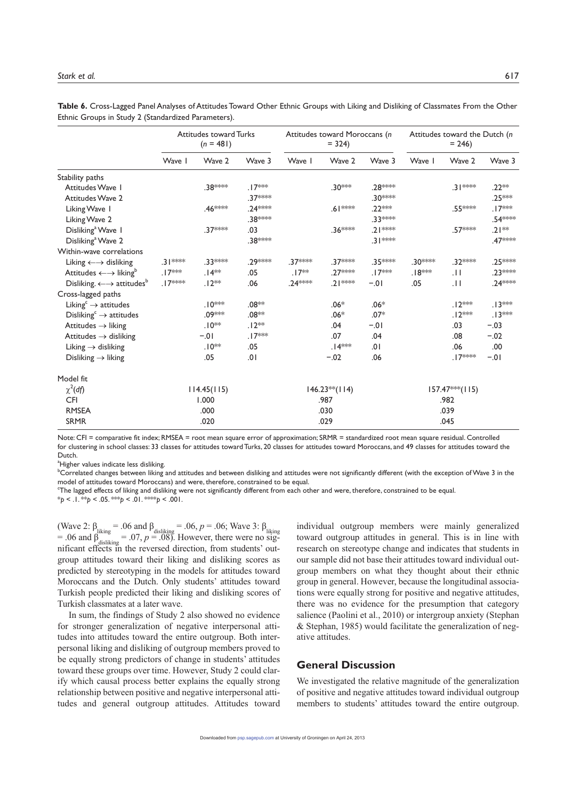|                                                         | <b>Attitudes toward Turks</b><br>$(n = 481)$ |                    | Attitudes toward Moroccans (n<br>$= 324$ |                  |                     | Attitudes toward the Dutch (n<br>$= 246$ |                     |                     |          |
|---------------------------------------------------------|----------------------------------------------|--------------------|------------------------------------------|------------------|---------------------|------------------------------------------|---------------------|---------------------|----------|
|                                                         | Wave I                                       | Wave 2             | Wave 3                                   | Wave I           | Wave 2              | Wave 3                                   | Wave I              | Wave 2              | Wave 3   |
| Stability paths                                         |                                              |                    |                                          |                  |                     |                                          |                     |                     |          |
| Attitudes Wave 1                                        |                                              | .38 ***            | .∣7***                                   |                  | .30 <sup>***</sup>  | .28 <sup>****</sup>                      |                     | .3   ****           | $.22**$  |
| <b>Attitudes Wave 2</b>                                 |                                              |                    | .37****                                  |                  |                     | .30 <sup>****</sup>                      |                     |                     | .25 ***  |
| Liking Wave 1                                           |                                              | $.46***$           | $.24***$                                 |                  | $.61***$            | .22 ***                                  |                     | .55 <sup>∗∗∗∗</sup> | $.17***$ |
| Liking Wave 2                                           |                                              |                    | .38 ***                                  |                  |                     | .33****                                  |                     |                     | .54****  |
| Disliking <sup>a</sup> Wave 1                           |                                              | $.37***$           | .03                                      |                  | .36****             | $.21***$                                 |                     | .57****             | $.21**$  |
| Disliking <sup>a</sup> Wave 2                           |                                              |                    | .38 ****                                 |                  |                     | .3   ****                                |                     |                     | .47****  |
| Within-wave correlations                                |                                              |                    |                                          |                  |                     |                                          |                     |                     |          |
| Liking $\longleftrightarrow$ disliking                  | $.31***$                                     | .33 ***            | .29 ***                                  | .37****          | .37 <sup>****</sup> | .35 ****                                 | .30 <sup>****</sup> | $.32***$            | .25 ***  |
| Attitudes $\leftarrow \rightarrow$ liking <sup>b</sup>  | $.17***$                                     | $.14**$            | .05                                      | $.17**$          | .27 ***             | $.17***$                                 | .18 <sup>***</sup>  | $  \cdot  $         | .23 **** |
| Disliking. $\longleftrightarrow$ attitudes <sup>b</sup> | $.17***$                                     | $.12**$            | .06                                      | .24 ****         | $.21***$            | $-0.01$                                  | .05                 | .11                 | $.24***$ |
| Cross-lagged paths                                      |                                              |                    |                                          |                  |                     |                                          |                     |                     |          |
| Liking <sup>c</sup> $\rightarrow$ attitudes             |                                              | .10 <sup>***</sup> | $.08**$                                  |                  | $.06*$              | $.06*$                                   |                     | .∣2***              | $.13***$ |
| Disliking <sup>c</sup> $\rightarrow$ attitudes          |                                              | .09***             | $.08**$                                  |                  | $.06*$              | $.07*$                                   |                     | .12 <sup>***</sup>  | .∣3***   |
| Attitudes $\rightarrow$ liking                          |                                              | .10 <sup>*</sup> * | $.12**$                                  |                  | .04                 | $-0.1$                                   |                     | .03                 | $-.03$   |
| Attitudes $\rightarrow$ disliking                       |                                              | $-0.01$            | .17***                                   |                  | .07                 | .04                                      |                     | .08                 | $-.02$   |
| Liking $\rightarrow$ disliking                          |                                              | $.10**$            | .05                                      |                  | $.14***$            | .01                                      |                     | .06                 | .00      |
| Disliking $\rightarrow$ liking                          |                                              | .05                | .01                                      |                  | $-.02$              | .06                                      |                     | .l7****             | $-0.01$  |
| Model fit                                               |                                              |                    |                                          |                  |                     |                                          |                     |                     |          |
| $\chi^2$ (df)                                           | 114.45(115)                                  |                    |                                          | $146.23**$ (114) |                     |                                          | $157.47***$ (115)   |                     |          |
| <b>CFI</b>                                              |                                              | 1.000              |                                          | .987             |                     |                                          | .982                |                     |          |
| <b>RMSEA</b>                                            |                                              | .000               |                                          |                  | .030                |                                          | .039                |                     |          |
| <b>SRMR</b>                                             |                                              | .020               |                                          |                  | .029                |                                          |                     | .045                |          |

**Table 6.** Cross-Lagged Panel Analyses of Attitudes Toward Other Ethnic Groups with Liking and Disliking of Classmates From the Other Ethnic Groups in Study 2 (Standardized Parameters).

Note: CFI = comparative fit index; RMSEA = root mean square error of approximation; SRMR = standardized root mean square residual. Controlled for clustering in school classes: 33 classes for attitudes toward Turks, 20 classes for attitudes toward Moroccans, and 49 classes for attitudes toward the Dutch.

<sup>a</sup>Higher values indicate less disliking.

**bCorrelated changes between liking and attitudes and between disliking and attitudes were not significantly different (with the exception of Wave 3 in the** model of attitudes toward Moroccans) and were, therefore, constrained to be equal.

<sup>c</sup>The lagged effects of liking and disliking were not significantly different from each other and were, therefore, constrained to be equal. \**p* <  $\ldots$  \*\**p* < .05. \*\**p* < .01. \*\*\**p* < .001.

(Wave 2:  $\beta_{\text{liking}} = .06$  and  $\beta_{\text{disliking}} = .06, p = .06$ ; Wave 3:  $\beta_{\text{liking}} = .06$  and  $\beta_{\text{disliking}} = .07, p = .08$ ). However, there were no sig- $= .06$  and  $\beta_{\text{disking}} = .07, p = .08$ ). However, there were no significant effects in the reversed direction, from students' outgroup attitudes toward their liking and disliking scores as predicted by stereotyping in the models for attitudes toward Moroccans and the Dutch. Only students' attitudes toward Turkish people predicted their liking and disliking scores of Turkish classmates at a later wave.

In sum, the findings of Study 2 also showed no evidence for stronger generalization of negative interpersonal attitudes into attitudes toward the entire outgroup. Both interpersonal liking and disliking of outgroup members proved to be equally strong predictors of change in students' attitudes toward these groups over time. However, Study 2 could clarify which causal process better explains the equally strong relationship between positive and negative interpersonal attitudes and general outgroup attitudes. Attitudes toward individual outgroup members were mainly generalized toward outgroup attitudes in general. This is in line with research on stereotype change and indicates that students in our sample did not base their attitudes toward individual outgroup members on what they thought about their ethnic group in general. However, because the longitudinal associations were equally strong for positive and negative attitudes, there was no evidence for the presumption that category salience (Paolini et al., 2010) or intergroup anxiety (Stephan & Stephan, 1985) would facilitate the generalization of negative attitudes.

# **General Discussion**

We investigated the relative magnitude of the generalization of positive and negative attitudes toward individual outgroup members to students' attitudes toward the entire outgroup.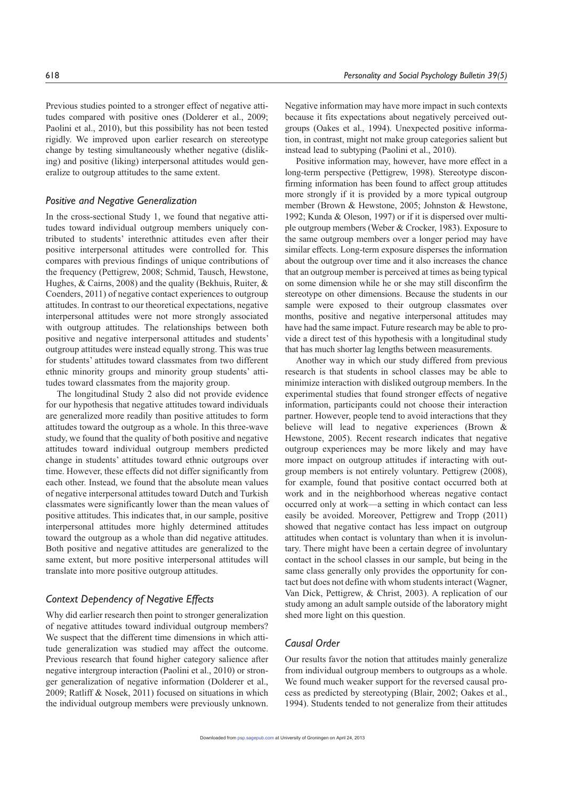Previous studies pointed to a stronger effect of negative attitudes compared with positive ones (Dolderer et al., 2009; Paolini et al., 2010), but this possibility has not been tested rigidly. We improved upon earlier research on stereotype change by testing simultaneously whether negative (disliking) and positive (liking) interpersonal attitudes would generalize to outgroup attitudes to the same extent.

#### *Positive and Negative Generalization*

In the cross-sectional Study 1, we found that negative attitudes toward individual outgroup members uniquely contributed to students' interethnic attitudes even after their positive interpersonal attitudes were controlled for. This compares with previous findings of unique contributions of the frequency (Pettigrew, 2008; Schmid, Tausch, Hewstone, Hughes, & Cairns, 2008) and the quality (Bekhuis, Ruiter, & Coenders, 2011) of negative contact experiences to outgroup attitudes. In contrast to our theoretical expectations, negative interpersonal attitudes were not more strongly associated with outgroup attitudes. The relationships between both positive and negative interpersonal attitudes and students' outgroup attitudes were instead equally strong. This was true for students' attitudes toward classmates from two different ethnic minority groups and minority group students' attitudes toward classmates from the majority group.

The longitudinal Study 2 also did not provide evidence for our hypothesis that negative attitudes toward individuals are generalized more readily than positive attitudes to form attitudes toward the outgroup as a whole. In this three-wave study, we found that the quality of both positive and negative attitudes toward individual outgroup members predicted change in students' attitudes toward ethnic outgroups over time. However, these effects did not differ significantly from each other. Instead, we found that the absolute mean values of negative interpersonal attitudes toward Dutch and Turkish classmates were significantly lower than the mean values of positive attitudes. This indicates that, in our sample, positive interpersonal attitudes more highly determined attitudes toward the outgroup as a whole than did negative attitudes. Both positive and negative attitudes are generalized to the same extent, but more positive interpersonal attitudes will translate into more positive outgroup attitudes.

## *Context Dependency of Negative Effects*

Why did earlier research then point to stronger generalization of negative attitudes toward individual outgroup members? We suspect that the different time dimensions in which attitude generalization was studied may affect the outcome. Previous research that found higher category salience after negative intergroup interaction (Paolini et al., 2010) or stronger generalization of negative information (Dolderer et al., 2009; Ratliff & Nosek, 2011) focused on situations in which the individual outgroup members were previously unknown.

Negative information may have more impact in such contexts because it fits expectations about negatively perceived outgroups (Oakes et al., 1994). Unexpected positive information, in contrast, might not make group categories salient but instead lead to subtyping (Paolini et al., 2010).

Positive information may, however, have more effect in a long-term perspective (Pettigrew, 1998). Stereotype disconfirming information has been found to affect group attitudes more strongly if it is provided by a more typical outgroup member (Brown & Hewstone, 2005; Johnston & Hewstone, 1992; Kunda & Oleson, 1997) or if it is dispersed over multiple outgroup members (Weber & Crocker, 1983). Exposure to the same outgroup members over a longer period may have similar effects. Long-term exposure disperses the information about the outgroup over time and it also increases the chance that an outgroup member is perceived at times as being typical on some dimension while he or she may still disconfirm the stereotype on other dimensions. Because the students in our sample were exposed to their outgroup classmates over months, positive and negative interpersonal attitudes may have had the same impact. Future research may be able to provide a direct test of this hypothesis with a longitudinal study that has much shorter lag lengths between measurements.

Another way in which our study differed from previous research is that students in school classes may be able to minimize interaction with disliked outgroup members. In the experimental studies that found stronger effects of negative information, participants could not choose their interaction partner. However, people tend to avoid interactions that they believe will lead to negative experiences (Brown & Hewstone, 2005). Recent research indicates that negative outgroup experiences may be more likely and may have more impact on outgroup attitudes if interacting with outgroup members is not entirely voluntary. Pettigrew (2008), for example, found that positive contact occurred both at work and in the neighborhood whereas negative contact occurred only at work—a setting in which contact can less easily be avoided. Moreover, Pettigrew and Tropp (2011) showed that negative contact has less impact on outgroup attitudes when contact is voluntary than when it is involuntary. There might have been a certain degree of involuntary contact in the school classes in our sample, but being in the same class generally only provides the opportunity for contact but does not define with whom students interact (Wagner, Van Dick, Pettigrew, & Christ, 2003). A replication of our study among an adult sample outside of the laboratory might shed more light on this question.

# *Causal Order*

Our results favor the notion that attitudes mainly generalize from individual outgroup members to outgroups as a whole. We found much weaker support for the reversed causal process as predicted by stereotyping (Blair, 2002; Oakes et al., 1994). Students tended to not generalize from their attitudes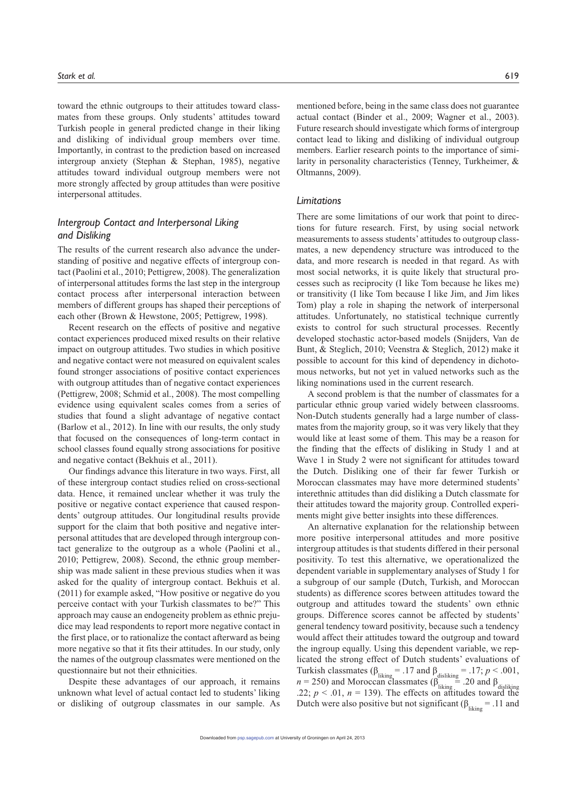toward the ethnic outgroups to their attitudes toward classmates from these groups. Only students' attitudes toward Turkish people in general predicted change in their liking and disliking of individual group members over time. Importantly, in contrast to the prediction based on increased intergroup anxiety (Stephan & Stephan, 1985), negative attitudes toward individual outgroup members were not more strongly affected by group attitudes than were positive interpersonal attitudes.

# *Intergroup Contact and Interpersonal Liking and Disliking*

The results of the current research also advance the understanding of positive and negative effects of intergroup contact (Paolini et al., 2010; Pettigrew, 2008). The generalization of interpersonal attitudes forms the last step in the intergroup contact process after interpersonal interaction between members of different groups has shaped their perceptions of each other (Brown & Hewstone, 2005; Pettigrew, 1998).

Recent research on the effects of positive and negative contact experiences produced mixed results on their relative impact on outgroup attitudes. Two studies in which positive and negative contact were not measured on equivalent scales found stronger associations of positive contact experiences with outgroup attitudes than of negative contact experiences (Pettigrew, 2008; Schmid et al., 2008). The most compelling evidence using equivalent scales comes from a series of studies that found a slight advantage of negative contact (Barlow et al., 2012). In line with our results, the only study that focused on the consequences of long-term contact in school classes found equally strong associations for positive and negative contact (Bekhuis et al., 2011).

Our findings advance this literature in two ways. First, all of these intergroup contact studies relied on cross-sectional data. Hence, it remained unclear whether it was truly the positive or negative contact experience that caused respondents' outgroup attitudes. Our longitudinal results provide support for the claim that both positive and negative interpersonal attitudes that are developed through intergroup contact generalize to the outgroup as a whole (Paolini et al., 2010; Pettigrew, 2008). Second, the ethnic group membership was made salient in these previous studies when it was asked for the quality of intergroup contact. Bekhuis et al. (2011) for example asked, "How positive or negative do you perceive contact with your Turkish classmates to be?" This approach may cause an endogeneity problem as ethnic prejudice may lead respondents to report more negative contact in the first place, or to rationalize the contact afterward as being more negative so that it fits their attitudes. In our study, only the names of the outgroup classmates were mentioned on the questionnaire but not their ethnicities.

Despite these advantages of our approach, it remains unknown what level of actual contact led to students' liking or disliking of outgroup classmates in our sample. As mentioned before, being in the same class does not guarantee actual contact (Binder et al., 2009; Wagner et al., 2003). Future research should investigate which forms of intergroup contact lead to liking and disliking of individual outgroup members. Earlier research points to the importance of similarity in personality characteristics (Tenney, Turkheimer, & Oltmanns, 2009).

#### *Limitations*

There are some limitations of our work that point to directions for future research. First, by using social network measurements to assess students' attitudes to outgroup classmates, a new dependency structure was introduced to the data, and more research is needed in that regard. As with most social networks, it is quite likely that structural processes such as reciprocity (I like Tom because he likes me) or transitivity (I like Tom because I like Jim, and Jim likes Tom) play a role in shaping the network of interpersonal attitudes. Unfortunately, no statistical technique currently exists to control for such structural processes. Recently developed stochastic actor-based models (Snijders, Van de Bunt, & Steglich, 2010; Veenstra & Steglich, 2012) make it possible to account for this kind of dependency in dichotomous networks, but not yet in valued networks such as the liking nominations used in the current research.

A second problem is that the number of classmates for a particular ethnic group varied widely between classrooms. Non-Dutch students generally had a large number of classmates from the majority group, so it was very likely that they would like at least some of them. This may be a reason for the finding that the effects of disliking in Study 1 and at Wave 1 in Study 2 were not significant for attitudes toward the Dutch. Disliking one of their far fewer Turkish or Moroccan classmates may have more determined students' interethnic attitudes than did disliking a Dutch classmate for their attitudes toward the majority group. Controlled experiments might give better insights into these differences.

An alternative explanation for the relationship between more positive interpersonal attitudes and more positive intergroup attitudes is that students differed in their personal positivity. To test this alternative, we operationalized the dependent variable in supplementary analyses of Study 1 for a subgroup of our sample (Dutch, Turkish, and Moroccan students) as difference scores between attitudes toward the outgroup and attitudes toward the students' own ethnic groups. Difference scores cannot be affected by students' general tendency toward positivity, because such a tendency would affect their attitudes toward the outgroup and toward the ingroup equally. Using this dependent variable, we replicated the strong effect of Dutch students' evaluations of Turkish classmates ( $\beta_{\text{liking}} = .17$  and  $\beta_{\text{disliking}} = .17; p < .001$ ,  $n = 250$ ) and Moroccan classmates ( $\beta_{\text{liking}} = .20$  and  $\beta_{\text{disliking}}$ .22;  $p < .01$ ,  $n = 139$ ). The effects on attitudes toward the Dutch were also positive but not significant ( $\beta_{\text{liking}} = .11$  and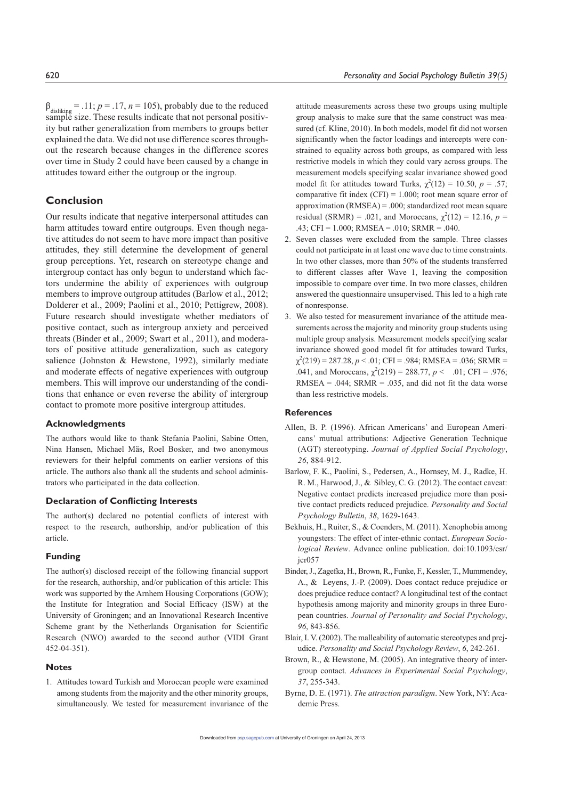$\beta_{\text{disking}} = .11; p = .17, n = 105$ , probably due to the reduced sample size. These results indicate that not personal positivity but rather generalization from members to groups better explained the data. We did not use difference scores throughout the research because changes in the difference scores over time in Study 2 could have been caused by a change in attitudes toward either the outgroup or the ingroup.

## **Conclusion**

Our results indicate that negative interpersonal attitudes can harm attitudes toward entire outgroups. Even though negative attitudes do not seem to have more impact than positive attitudes, they still determine the development of general group perceptions. Yet, research on stereotype change and intergroup contact has only begun to understand which factors undermine the ability of experiences with outgroup members to improve outgroup attitudes (Barlow et al., 2012; Dolderer et al., 2009; Paolini et al., 2010; Pettigrew, 2008). Future research should investigate whether mediators of positive contact, such as intergroup anxiety and perceived threats (Binder et al., 2009; Swart et al., 2011), and moderators of positive attitude generalization, such as category salience (Johnston & Hewstone, 1992), similarly mediate and moderate effects of negative experiences with outgroup members. This will improve our understanding of the conditions that enhance or even reverse the ability of intergroup contact to promote more positive intergroup attitudes.

#### **Acknowledgments**

The authors would like to thank Stefania Paolini, Sabine Otten, Nina Hansen, Michael Mäs, Roel Bosker, and two anonymous reviewers for their helpful comments on earlier versions of this article. The authors also thank all the students and school administrators who participated in the data collection.

#### **Declaration of Conflicting Interests**

The author(s) declared no potential conflicts of interest with respect to the research, authorship, and/or publication of this article.

#### **Funding**

The author(s) disclosed receipt of the following financial support for the research, authorship, and/or publication of this article: This work was supported by the Arnhem Housing Corporations (GOW); the Institute for Integration and Social Efficacy (ISW) at the University of Groningen; and an Innovational Research Incentive Scheme grant by the Netherlands Organisation for Scientific Research (NWO) awarded to the second author (VIDI Grant 452-04-351).

#### **Notes**

1. Attitudes toward Turkish and Moroccan people were examined among students from the majority and the other minority groups, simultaneously. We tested for measurement invariance of the

attitude measurements across these two groups using multiple group analysis to make sure that the same construct was measured (cf. Kline, 2010). In both models, model fit did not worsen significantly when the factor loadings and intercepts were constrained to equality across both groups, as compared with less restrictive models in which they could vary across groups. The measurement models specifying scalar invariance showed good model fit for attitudes toward Turks,  $\chi^2(12) = 10.50$ ,  $p = .57$ ; comparative fit index  $(CFI) = 1.000$ ; root mean square error of approximation (RMSEA) = .000; standardized root mean square residual (SRMR) = .021, and Moroccans,  $\chi^2(12) = 12.16$ ,  $p =$ .43; CFI = 1.000; RMSEA = .010; SRMR = .040.

- 2. Seven classes were excluded from the sample. Three classes could not participate in at least one wave due to time constraints. In two other classes, more than 50% of the students transferred to different classes after Wave 1, leaving the composition impossible to compare over time. In two more classes, children answered the questionnaire unsupervised. This led to a high rate of nonresponse.
- 3. We also tested for measurement invariance of the attitude measurements across the majority and minority group students using multiple group analysis. Measurement models specifying scalar invariance showed good model fit for attitudes toward Turks,  $\chi^2(219) = 287.28, p < .01$ ; CFI = .984; RMSEA = .036; SRMR = .041, and Moroccans,  $\chi^2(219) = 288.77$ ,  $p < .01$ ; CFI = .976; RMSEA =  $.044$ ; SRMR =  $.035$ , and did not fit the data worse than less restrictive models.

#### **References**

- Allen, B. P. (1996). African Americans' and European Americans' mutual attributions: Adjective Generation Technique (AGT) stereotyping. *Journal of Applied Social Psychology*, *26*, 884-912.
- Barlow, F. K., Paolini, S., Pedersen, A., Hornsey, M. J., Radke, H. R. M., Harwood, J., & Sibley, C. G. (2012). The contact caveat: Negative contact predicts increased prejudice more than positive contact predicts reduced prejudice. *Personality and Social Psychology Bulletin*, *38*, 1629-1643.
- Bekhuis, H., Ruiter, S., & Coenders, M. (2011). Xenophobia among youngsters: The effect of inter-ethnic contact. *European Sociological Review*. Advance online publication. doi:10.1093/esr/ jcr057
- Binder, J., Zagefka, H., Brown, R., Funke, F., Kessler, T., Mummendey, A., & Leyens, J.-P. (2009). Does contact reduce prejudice or does prejudice reduce contact? A longitudinal test of the contact hypothesis among majority and minority groups in three European countries. *Journal of Personality and Social Psychology*, *96*, 843-856.
- Blair, I. V. (2002). The malleability of automatic stereotypes and prejudice. *Personality and Social Psychology Review*, *6*, 242-261.
- Brown, R., & Hewstone, M. (2005). An integrative theory of intergroup contact. *Advances in Experimental Social Psychology*, *37*, 255-343.
- Byrne, D. E. (1971). *The attraction paradigm*. New York, NY: Academic Press.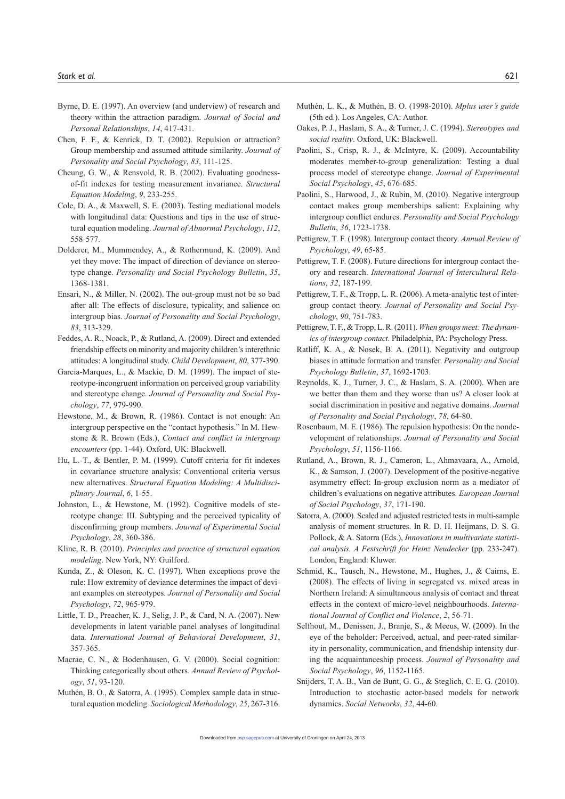- Byrne, D. E. (1997). An overview (and underview) of research and theory within the attraction paradigm. *Journal of Social and Personal Relationships*, *14*, 417-431.
- Chen, F. F., & Kenrick, D. T. (2002). Repulsion or attraction? Group membership and assumed attitude similarity. *Journal of Personality and Social Psychology*, *83*, 111-125.
- Cheung, G. W., & Rensvold, R. B. (2002). Evaluating goodnessof-fit indexes for testing measurement invariance. *Structural Equation Modeling*, *9*, 233-255.
- Cole, D. A., & Maxwell, S. E. (2003). Testing mediational models with longitudinal data: Questions and tips in the use of structural equation modeling. *Journal of Abnormal Psychology*, *112*, 558-577.
- Dolderer, M., Mummendey, A., & Rothermund, K. (2009). And yet they move: The impact of direction of deviance on stereotype change. *Personality and Social Psychology Bulletin*, *35*, 1368-1381.
- Ensari, N., & Miller, N. (2002). The out-group must not be so bad after all: The effects of disclosure, typicality, and salience on intergroup bias. *Journal of Personality and Social Psychology*, *83*, 313-329.
- Feddes, A. R., Noack, P., & Rutland, A. (2009). Direct and extended friendship effects on minority and majority children's interethnic attitudes: A longitudinal study. *Child Development*, *80*, 377-390.
- Garcia-Marques, L., & Mackie, D. M. (1999). The impact of stereotype-incongruent information on perceived group variability and stereotype change. *Journal of Personality and Social Psychology*, *77*, 979-990.
- Hewstone, M., & Brown, R. (1986). Contact is not enough: An intergroup perspective on the "contact hypothesis." In M. Hewstone & R. Brown (Eds.), *Contact and conflict in intergroup encounters* (pp. 1-44). Oxford, UK: Blackwell.
- Hu, L.-T., & Bentler, P. M. (1999). Cutoff criteria for fit indexes in covariance structure analysis: Conventional criteria versus new alternatives. *Structural Equation Modeling: A Multidisciplinary Journal*, *6*, 1-55.
- Johnston, L., & Hewstone, M. (1992). Cognitive models of stereotype change: III. Subtyping and the perceived typicality of disconfirming group members. *Journal of Experimental Social Psychology*, *28*, 360-386.
- Kline, R. B. (2010). *Principles and practice of structural equation modeling*. New York, NY: Guilford.
- Kunda, Z., & Oleson, K. C. (1997). When exceptions prove the rule: How extremity of deviance determines the impact of deviant examples on stereotypes. *Journal of Personality and Social Psychology*, *72*, 965-979.
- Little, T. D., Preacher, K. J., Selig, J. P., & Card, N. A. (2007). New developments in latent variable panel analyses of longitudinal data. *International Journal of Behavioral Development*, *31*, 357-365.
- Macrae, C. N., & Bodenhausen, G. V. (2000). Social cognition: Thinking categorically about others. *Annual Review of Psychology*, *51*, 93-120.
- Muthén, B. O., & Satorra, A. (1995). Complex sample data in structural equation modeling. *Sociological Methodology*, *25*, 267-316.
- Muthén, L. K., & Muthén, B. O. (1998-2010). *Mplus user's guide* (5th ed.). Los Angeles, CA: Author.
- Oakes, P. J., Haslam, S. A., & Turner, J. C. (1994). *Stereotypes and social reality*. Oxford, UK: Blackwell.
- Paolini, S., Crisp, R. J., & McIntyre, K. (2009). Accountability moderates member-to-group generalization: Testing a dual process model of stereotype change. *Journal of Experimental Social Psychology*, *45*, 676-685.
- Paolini, S., Harwood, J., & Rubin, M. (2010). Negative intergroup contact makes group memberships salient: Explaining why intergroup conflict endures. *Personality and Social Psychology Bulletin*, *36*, 1723-1738.
- Pettigrew, T. F. (1998). Intergroup contact theory. *Annual Review of Psychology*, *49*, 65-85.
- Pettigrew, T. F. (2008). Future directions for intergroup contact theory and research. *International Journal of Intercultural Relations*, *32*, 187-199.
- Pettigrew, T. F., & Tropp, L. R. (2006). A meta-analytic test of intergroup contact theory. *Journal of Personality and Social Psychology*, *90*, 751-783.
- Pettigrew, T. F., & Tropp, L. R. (2011). *When groups meet: The dynamics of intergroup contact*. Philadelphia, PA: Psychology Press.
- Ratliff, K. A., & Nosek, B. A. (2011). Negativity and outgroup biases in attitude formation and transfer. *Personality and Social Psychology Bulletin*, *37*, 1692-1703.
- Reynolds, K. J., Turner, J. C., & Haslam, S. A. (2000). When are we better than them and they worse than us? A closer look at social discrimination in positive and negative domains. *Journal of Personality and Social Psychology*, *78*, 64-80.
- Rosenbaum, M. E. (1986). The repulsion hypothesis: On the nondevelopment of relationships. *Journal of Personality and Social Psychology*, *51*, 1156-1166.
- Rutland, A., Brown, R. J., Cameron, L., Ahmavaara, A., Arnold, K., & Samson, J. (2007). Development of the positive-negative asymmetry effect: In-group exclusion norm as a mediator of children's evaluations on negative attributes. *European Journal of Social Psychology*, *37*, 171-190.
- Satorra, A. (2000). Scaled and adjusted restricted tests in multi-sample analysis of moment structures. In R. D. H. Heijmans, D. S. G. Pollock, & A. Satorra (Eds.), *Innovations in multivariate statistical analysis. A Festschrift for Heinz Neudecker* (pp. 233-247). London, England: Kluwer.
- Schmid, K., Tausch, N., Hewstone, M., Hughes, J., & Cairns, E. (2008). The effects of living in segregated vs. mixed areas in Northern Ireland: A simultaneous analysis of contact and threat effects in the context of micro-level neighbourhoods. *International Journal of Conflict and Violence*, *2*, 56-71.
- Selfhout, M., Denissen, J., Branje, S., & Meeus, W. (2009). In the eye of the beholder: Perceived, actual, and peer-rated similarity in personality, communication, and friendship intensity during the acquaintanceship process. *Journal of Personality and Social Psychology*, *96*, 1152-1165.
- Snijders, T. A. B., Van de Bunt, G. G., & Steglich, C. E. G. (2010). Introduction to stochastic actor-based models for network dynamics. *Social Networks*, *32*, 44-60.